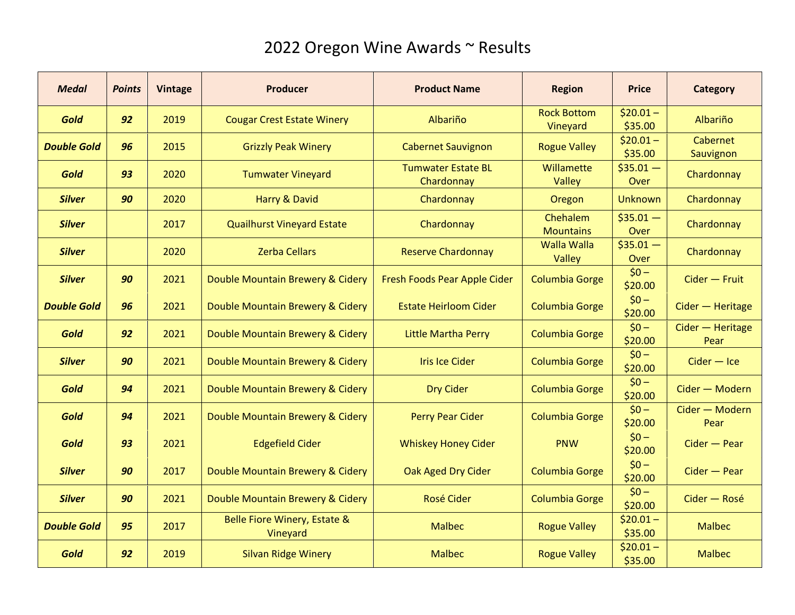| <b>Medal</b>       | <b>Points</b> | <b>Vintage</b> | <b>Producer</b>                          | <b>Product Name</b>                     | <b>Region</b>                  | <b>Price</b>          | <b>Category</b>          |
|--------------------|---------------|----------------|------------------------------------------|-----------------------------------------|--------------------------------|-----------------------|--------------------------|
| <b>Gold</b>        | 92            | 2019           | <b>Cougar Crest Estate Winery</b>        | Albariño                                | <b>Rock Bottom</b><br>Vineyard | $$20.01 -$<br>\$35.00 | Albariño                 |
| <b>Double Gold</b> | 96            | 2015           | <b>Grizzly Peak Winery</b>               | <b>Cabernet Sauvignon</b>               | <b>Rogue Valley</b>            | $$20.01 -$<br>\$35.00 | Cabernet<br>Sauvignon    |
| Gold               | 93            | 2020           | <b>Tumwater Vineyard</b>                 | <b>Tumwater Estate BL</b><br>Chardonnay | Willamette<br>Valley           | $$35.01 -$<br>Over    | Chardonnay               |
| <b>Silver</b>      | 90            | 2020           | Harry & David                            | Chardonnay                              | Oregon                         | <b>Unknown</b>        | Chardonnay               |
| <b>Silver</b>      |               | 2017           | <b>Quailhurst Vineyard Estate</b>        | Chardonnay                              | Chehalem<br><b>Mountains</b>   | $$35.01 -$<br>Over    | Chardonnay               |
| <b>Silver</b>      |               | 2020           | <b>Zerba Cellars</b>                     | <b>Reserve Chardonnay</b>               | <b>Walla Walla</b><br>Valley   | $$35.01 -$<br>Over    | Chardonnay               |
| <b>Silver</b>      | 90            | 2021           | Double Mountain Brewery & Cidery         | Fresh Foods Pear Apple Cider            | <b>Columbia Gorge</b>          | $$0 -$<br>\$20.00     | Cider - Fruit            |
| <b>Double Gold</b> | 96            | 2021           | Double Mountain Brewery & Cidery         | <b>Estate Heirloom Cider</b>            | <b>Columbia Gorge</b>          | $$0 -$<br>\$20.00     | Cider - Heritage         |
| Gold               | 92            | 2021           | Double Mountain Brewery & Cidery         | <b>Little Martha Perry</b>              | <b>Columbia Gorge</b>          | $$0 -$<br>\$20.00     | Cider - Heritage<br>Pear |
| <b>Silver</b>      | 90            | 2021           | Double Mountain Brewery & Cidery         | <b>Iris Ice Cider</b>                   | <b>Columbia Gorge</b>          | $$0 -$<br>\$20.00     | $Cider - Ice$            |
| <b>Gold</b>        | 94            | 2021           | Double Mountain Brewery & Cidery         | <b>Dry Cider</b>                        | <b>Columbia Gorge</b>          | $$0 -$<br>\$20.00     | Cider - Modern           |
| Gold               | 94            | 2021           | Double Mountain Brewery & Cidery         | <b>Perry Pear Cider</b>                 | <b>Columbia Gorge</b>          | $$0 -$<br>\$20.00     | Cider - Modern<br>Pear   |
| Gold               | 93            | 2021           | <b>Edgefield Cider</b>                   | <b>Whiskey Honey Cider</b>              | <b>PNW</b>                     | $$0 -$<br>\$20.00     | $Cider - Pear$           |
| <b>Silver</b>      | 90            | 2017           | Double Mountain Brewery & Cidery         | Oak Aged Dry Cider                      | <b>Columbia Gorge</b>          | $$0 -$<br>\$20.00     | $Cider - Pear$           |
| <b>Silver</b>      | 90            | 2021           | Double Mountain Brewery & Cidery         | <b>Rosé Cider</b>                       | <b>Columbia Gorge</b>          | $$0 -$<br>\$20.00     | Cider - Rosé             |
| <b>Double Gold</b> | 95            | 2017           | Belle Fiore Winery, Estate &<br>Vineyard | <b>Malbec</b>                           | <b>Rogue Valley</b>            | $$20.01 -$<br>\$35.00 | <b>Malbec</b>            |
| Gold               | 92            | 2019           | <b>Silvan Ridge Winery</b>               | <b>Malbec</b>                           | <b>Rogue Valley</b>            | $$20.01 -$<br>\$35.00 | <b>Malbec</b>            |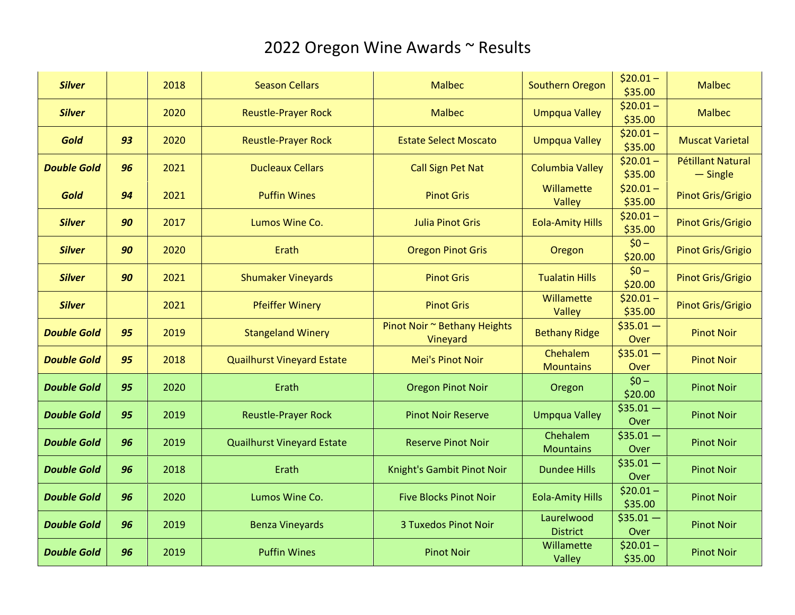| <b>Silver</b>      |    | 2018 | <b>Season Cellars</b>             | <b>Malbec</b>                            | <b>Southern Oregon</b>       | $$20.01 -$<br>\$35.00 | <b>Malbec</b>                          |
|--------------------|----|------|-----------------------------------|------------------------------------------|------------------------------|-----------------------|----------------------------------------|
| <b>Silver</b>      |    | 2020 | <b>Reustle-Prayer Rock</b>        | <b>Malbec</b>                            | <b>Umpqua Valley</b>         | $$20.01 -$<br>\$35.00 | <b>Malbec</b>                          |
| Gold               | 93 | 2020 | <b>Reustle-Prayer Rock</b>        | <b>Estate Select Moscato</b>             | <b>Umpqua Valley</b>         | $$20.01 -$<br>\$35.00 | <b>Muscat Varietal</b>                 |
| <b>Double Gold</b> | 96 | 2021 | <b>Ducleaux Cellars</b>           | <b>Call Sign Pet Nat</b>                 | <b>Columbia Valley</b>       | $$20.01 -$<br>\$35.00 | <b>Pétillant Natural</b><br>$-$ Single |
| Gold               | 94 | 2021 | <b>Puffin Wines</b>               | <b>Pinot Gris</b>                        | Willamette<br>Valley         | $$20.01 -$<br>\$35.00 | Pinot Gris/Grigio                      |
| <b>Silver</b>      | 90 | 2017 | Lumos Wine Co.                    | <b>Julia Pinot Gris</b>                  | <b>Eola-Amity Hills</b>      | $$20.01 -$<br>\$35.00 | Pinot Gris/Grigio                      |
| <b>Silver</b>      | 90 | 2020 | Erath                             | <b>Oregon Pinot Gris</b>                 | Oregon                       | $$0 -$<br>\$20.00     | Pinot Gris/Grigio                      |
| <b>Silver</b>      | 90 | 2021 | <b>Shumaker Vineyards</b>         | <b>Pinot Gris</b>                        | <b>Tualatin Hills</b>        | $$0 -$<br>\$20.00     | Pinot Gris/Grigio                      |
| <b>Silver</b>      |    | 2021 | <b>Pfeiffer Winery</b>            | <b>Pinot Gris</b>                        | Willamette<br>Valley         | $$20.01 -$<br>\$35.00 | Pinot Gris/Grigio                      |
| <b>Double Gold</b> | 95 | 2019 | <b>Stangeland Winery</b>          | Pinot Noir ~ Bethany Heights<br>Vineyard | <b>Bethany Ridge</b>         | $$35.01 -$<br>Over    | <b>Pinot Noir</b>                      |
| <b>Double Gold</b> | 95 | 2018 | <b>Quailhurst Vineyard Estate</b> | Mei's Pinot Noir                         | Chehalem<br><b>Mountains</b> | $$35.01 -$<br>Over    | <b>Pinot Noir</b>                      |
| <b>Double Gold</b> | 95 | 2020 | Erath                             | <b>Oregon Pinot Noir</b>                 | Oregon                       | $$0 -$<br>\$20.00     | <b>Pinot Noir</b>                      |
| <b>Double Gold</b> | 95 | 2019 | <b>Reustle-Prayer Rock</b>        | <b>Pinot Noir Reserve</b>                | <b>Umpqua Valley</b>         | $$35.01 -$<br>Over    | <b>Pinot Noir</b>                      |
| <b>Double Gold</b> | 96 | 2019 | <b>Quailhurst Vineyard Estate</b> | <b>Reserve Pinot Noir</b>                | Chehalem<br><b>Mountains</b> | $$35.01 -$<br>Over    | <b>Pinot Noir</b>                      |
| <b>Double Gold</b> | 96 | 2018 | Erath                             | Knight's Gambit Pinot Noir               | <b>Dundee Hills</b>          | $$35.01 -$<br>Over    | <b>Pinot Noir</b>                      |
| <b>Double Gold</b> | 96 | 2020 | Lumos Wine Co.                    | <b>Five Blocks Pinot Noir</b>            | <b>Eola-Amity Hills</b>      | $$20.01 -$<br>\$35.00 | <b>Pinot Noir</b>                      |
| <b>Double Gold</b> |    |      |                                   | <b>3 Tuxedos Pinot Noir</b>              | Laurelwood                   | $$35.01 -$            | <b>Pinot Noir</b>                      |
|                    | 96 | 2019 | <b>Benza Vineyards</b>            |                                          | <b>District</b>              | Over                  |                                        |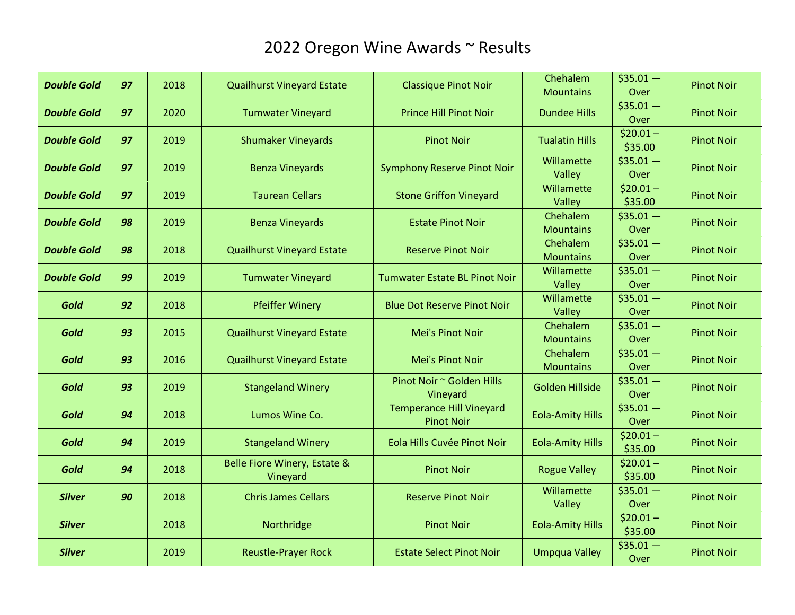| <b>Double Gold</b> | 97 | 2018 | <b>Quailhurst Vineyard Estate</b>                   | <b>Classique Pinot Noir</b>                          | Chehalem<br><b>Mountains</b> | $$35.01 -$<br>Over    | <b>Pinot Noir</b> |
|--------------------|----|------|-----------------------------------------------------|------------------------------------------------------|------------------------------|-----------------------|-------------------|
| <b>Double Gold</b> | 97 | 2020 | <b>Tumwater Vineyard</b>                            | <b>Prince Hill Pinot Noir</b>                        | <b>Dundee Hills</b>          | $$35.01 -$<br>Over    | <b>Pinot Noir</b> |
| <b>Double Gold</b> | 97 | 2019 | <b>Shumaker Vineyards</b>                           | <b>Pinot Noir</b>                                    | <b>Tualatin Hills</b>        | $$20.01 -$<br>\$35.00 | <b>Pinot Noir</b> |
| <b>Double Gold</b> | 97 | 2019 | <b>Benza Vineyards</b>                              | <b>Symphony Reserve Pinot Noir</b>                   | Willamette<br>Valley         | $$35.01 -$<br>Over    | <b>Pinot Noir</b> |
| <b>Double Gold</b> | 97 | 2019 | <b>Taurean Cellars</b>                              | <b>Stone Griffon Vineyard</b>                        | Willamette<br>Valley         | $$20.01 -$<br>\$35.00 | <b>Pinot Noir</b> |
| <b>Double Gold</b> | 98 | 2019 | <b>Benza Vineyards</b>                              | <b>Estate Pinot Noir</b>                             | Chehalem<br><b>Mountains</b> | $$35.01 -$<br>Over    | <b>Pinot Noir</b> |
| <b>Double Gold</b> | 98 | 2018 | <b>Quailhurst Vineyard Estate</b>                   | <b>Reserve Pinot Noir</b>                            | Chehalem<br><b>Mountains</b> | $$35.01 -$<br>Over    | <b>Pinot Noir</b> |
| <b>Double Gold</b> | 99 | 2019 | <b>Tumwater Vineyard</b>                            | <b>Tumwater Estate BL Pinot Noir</b>                 | Willamette<br>Valley         | $$35.01 -$<br>Over    | <b>Pinot Noir</b> |
| Gold               | 92 | 2018 | <b>Pfeiffer Winery</b>                              | <b>Blue Dot Reserve Pinot Noir</b>                   | Willamette<br>Valley         | $$35.01 -$<br>Over    | <b>Pinot Noir</b> |
| Gold               | 93 | 2015 | <b>Quailhurst Vineyard Estate</b>                   | Mei's Pinot Noir                                     | Chehalem<br><b>Mountains</b> | $$35.01 -$<br>Over    | <b>Pinot Noir</b> |
| Gold               | 93 | 2016 | <b>Quailhurst Vineyard Estate</b>                   | Mei's Pinot Noir                                     | Chehalem<br><b>Mountains</b> | $$35.01 -$<br>Over    | <b>Pinot Noir</b> |
| Gold               | 93 | 2019 | <b>Stangeland Winery</b>                            | Pinot Noir ~ Golden Hills<br>Vineyard                | <b>Golden Hillside</b>       | $$35.01 -$<br>Over    | <b>Pinot Noir</b> |
| Gold               | 94 | 2018 | Lumos Wine Co.                                      | <b>Temperance Hill Vineyard</b><br><b>Pinot Noir</b> | <b>Eola-Amity Hills</b>      | $$35.01 -$<br>Over    | <b>Pinot Noir</b> |
| Gold               | 94 | 2019 | <b>Stangeland Winery</b>                            | Eola Hills Cuvée Pinot Noir                          | <b>Eola-Amity Hills</b>      | $$20.01 -$<br>\$35.00 | <b>Pinot Noir</b> |
| Gold               | 94 | 2018 | <b>Belle Fiore Winery, Estate &amp;</b><br>Vineyard | <b>Pinot Noir</b>                                    | <b>Rogue Valley</b>          | $$20.01 -$<br>\$35.00 | <b>Pinot Noir</b> |
| <b>Silver</b>      | 90 | 2018 | <b>Chris James Cellars</b>                          | <b>Reserve Pinot Noir</b>                            | Willamette<br>Valley         | $$35.01 -$<br>Over    | <b>Pinot Noir</b> |
| <b>Silver</b>      |    | 2018 | Northridge                                          | <b>Pinot Noir</b>                                    | <b>Eola-Amity Hills</b>      | $$20.01 -$<br>\$35.00 | <b>Pinot Noir</b> |
| <b>Silver</b>      |    | 2019 | <b>Reustle-Prayer Rock</b>                          | <b>Estate Select Pinot Noir</b>                      | <b>Umpqua Valley</b>         | $$35.01 -$<br>Over    | <b>Pinot Noir</b> |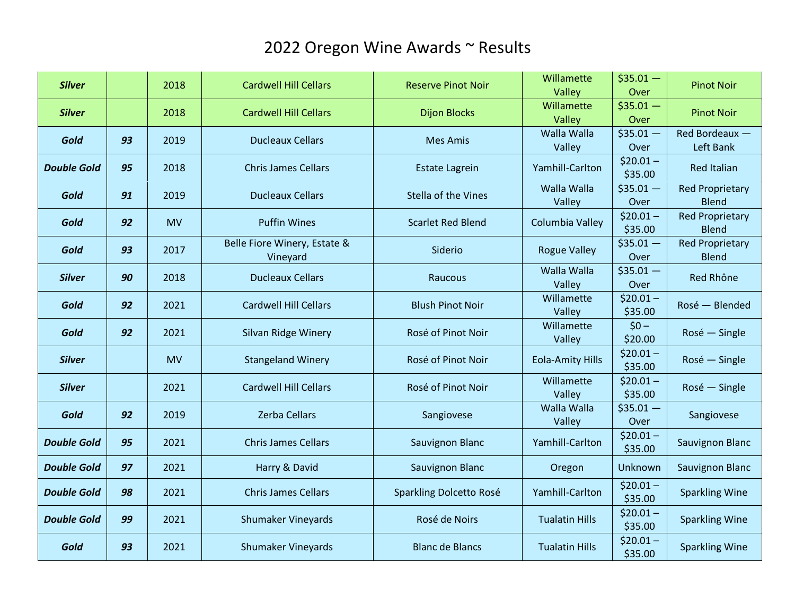| <b>Silver</b>      |    | 2018       | <b>Cardwell Hill Cellars</b> | <b>Reserve Pinot Noir</b>  | Willamette              | $$35.01 -$            | <b>Pinot Noir</b>                      |  |
|--------------------|----|------------|------------------------------|----------------------------|-------------------------|-----------------------|----------------------------------------|--|
|                    |    |            |                              |                            | Valley                  | Over                  |                                        |  |
| <b>Silver</b>      |    | 2018       | <b>Cardwell Hill Cellars</b> | <b>Dijon Blocks</b>        | Willamette              | $$35.01 -$            | <b>Pinot Noir</b>                      |  |
|                    |    |            |                              |                            | Valley                  | Over                  |                                        |  |
| Gold               | 93 | 2019       | <b>Ducleaux Cellars</b>      | <b>Mes Amis</b>            | Walla Walla             | $$35.01 -$            | Red Bordeaux -                         |  |
|                    |    |            |                              |                            | Valley                  | Over                  | Left Bank                              |  |
| <b>Double Gold</b> | 95 | 2018       | <b>Chris James Cellars</b>   | <b>Estate Lagrein</b>      | Yamhill-Carlton         | $$20.01 -$<br>\$35.00 | <b>Red Italian</b>                     |  |
| Gold               | 91 | 2019       | <b>Ducleaux Cellars</b>      | <b>Stella of the Vines</b> | Walla Walla             | $$35.01 -$            | <b>Red Proprietary</b>                 |  |
|                    |    |            |                              |                            | Valley                  | Over<br>$$20.01 -$    | <b>Blend</b><br><b>Red Proprietary</b> |  |
| Gold               | 92 | <b>MV</b>  | <b>Puffin Wines</b>          | <b>Scarlet Red Blend</b>   | Columbia Valley         | \$35.00               | <b>Blend</b>                           |  |
|                    |    |            | Belle Fiore Winery, Estate & |                            |                         | $$35.01 -$            | <b>Red Proprietary</b>                 |  |
| Gold               | 93 | 2017       | Vineyard                     | Siderio                    | <b>Rogue Valley</b>     | Over                  | <b>Blend</b>                           |  |
|                    |    | 90<br>2018 |                              |                            |                         | Walla Walla           | $$35.01 -$                             |  |
| <b>Silver</b>      |    |            | <b>Ducleaux Cellars</b>      | Raucous                    | Valley                  | Over                  | Red Rhône                              |  |
|                    | 92 | 2021       | <b>Cardwell Hill Cellars</b> | <b>Blush Pinot Noir</b>    | Willamette              | $$20.01 -$            |                                        |  |
| Gold               |    |            |                              |                            | Valley                  | \$35.00               | Rosé - Blended                         |  |
| Gold               | 92 | 2021       | Silvan Ridge Winery          | Rosé of Pinot Noir         | Willamette              | $$0 -$                | Rosé - Single                          |  |
|                    |    |            |                              |                            | Valley                  | \$20.00               |                                        |  |
| <b>Silver</b>      |    | <b>MV</b>  | <b>Stangeland Winery</b>     | Rosé of Pinot Noir         | <b>Eola-Amity Hills</b> | $$20.01 -$            | Rosé - Single                          |  |
|                    |    |            |                              |                            |                         | \$35.00               |                                        |  |
| <b>Silver</b>      |    | 2021       | <b>Cardwell Hill Cellars</b> | Rosé of Pinot Noir         | Willamette              | $$20.01 -$            | Rosé - Single                          |  |
|                    |    |            |                              |                            | Valley<br>Walla Walla   | \$35.00               |                                        |  |
| Gold               | 92 | 2019       | <b>Zerba Cellars</b>         | Sangiovese                 | Valley                  | $$35.01 -$<br>Over    | Sangiovese                             |  |
|                    |    |            |                              |                            |                         | $$20.01 -$            |                                        |  |
| <b>Double Gold</b> | 95 | 2021       | <b>Chris James Cellars</b>   | <b>Sauvignon Blanc</b>     | Yamhill-Carlton         | \$35.00               | Sauvignon Blanc                        |  |
|                    | 97 |            |                              |                            |                         |                       |                                        |  |
| <b>Double Gold</b> |    | 2021       | Harry & David                | <b>Sauvignon Blanc</b>     | Oregon                  | Unknown               | Sauvignon Blanc                        |  |
| <b>Double Gold</b> | 98 | 2021       | <b>Chris James Cellars</b>   | Sparkling Dolcetto Rosé    | Yamhill-Carlton         | $$20.01 -$<br>\$35.00 | <b>Sparkling Wine</b>                  |  |
| <b>Double Gold</b> | 99 | 2021       | <b>Shumaker Vineyards</b>    | Rosé de Noirs              | <b>Tualatin Hills</b>   | $$20.01 -$<br>\$35.00 | <b>Sparkling Wine</b>                  |  |
| Gold               | 93 | 2021       | <b>Shumaker Vineyards</b>    | <b>Blanc de Blancs</b>     | <b>Tualatin Hills</b>   | $$20.01 -$<br>\$35.00 | <b>Sparkling Wine</b>                  |  |